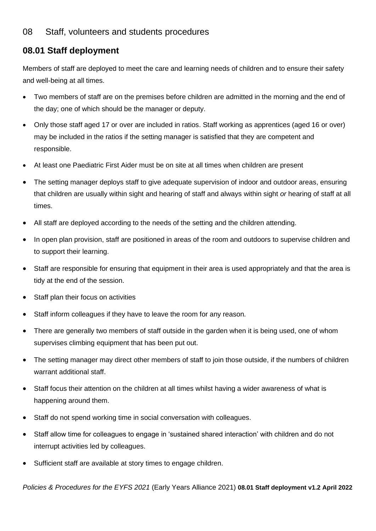## **08.01 Staff deployment**

Members of staff are deployed to meet the care and learning needs of children and to ensure their safety and well-being at all times.

- Two members of staff are on the premises before children are admitted in the morning and the end of the day; one of which should be the manager or deputy.
- Only those staff aged 17 or over are included in ratios. Staff working as apprentices (aged 16 or over) may be included in the ratios if the setting manager is satisfied that they are competent and responsible.
- At least one Paediatric First Aider must be on site at all times when children are present
- The setting manager deploys staff to give adequate supervision of indoor and outdoor areas, ensuring that children are usually within sight and hearing of staff and always within sight *or* hearing of staff at all times.
- All staff are deployed according to the needs of the setting and the children attending.
- In open plan provision, staff are positioned in areas of the room and outdoors to supervise children and to support their learning.
- Staff are responsible for ensuring that equipment in their area is used appropriately and that the area is tidy at the end of the session.
- Staff plan their focus on activities
- Staff inform colleagues if they have to leave the room for any reason.
- There are generally two members of staff outside in the garden when it is being used, one of whom supervises climbing equipment that has been put out.
- The setting manager may direct other members of staff to join those outside, if the numbers of children warrant additional staff.
- Staff focus their attention on the children at all times whilst having a wider awareness of what is happening around them.
- Staff do not spend working time in social conversation with colleagues.
- Staff allow time for colleagues to engage in 'sustained shared interaction' with children and do not interrupt activities led by colleagues.
- Sufficient staff are available at story times to engage children.

*Policies & Procedures for the EYFS 2021* (Early Years Alliance 2021) **08.01 Staff deployment v1.2 April 2022**